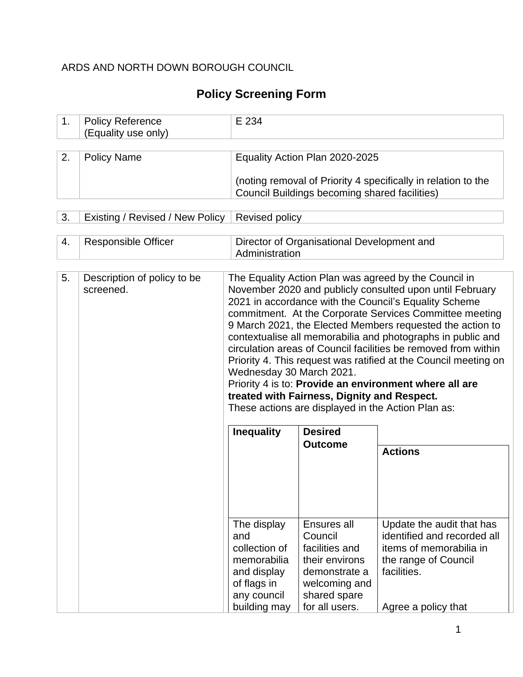## ARDS AND NORTH DOWN BOROUGH COUNCIL

# **Policy Screening Form**

| 1.                                                                                               | <b>Policy Reference</b><br>(Equality use only) | E 234                                                                                           |                                                                                                                                |                                                                                                                                                                                                                                                                                                                                                                                                                                                                                                                                                                  |  |  |  |  |  |  |
|--------------------------------------------------------------------------------------------------|------------------------------------------------|-------------------------------------------------------------------------------------------------|--------------------------------------------------------------------------------------------------------------------------------|------------------------------------------------------------------------------------------------------------------------------------------------------------------------------------------------------------------------------------------------------------------------------------------------------------------------------------------------------------------------------------------------------------------------------------------------------------------------------------------------------------------------------------------------------------------|--|--|--|--|--|--|
|                                                                                                  |                                                |                                                                                                 |                                                                                                                                |                                                                                                                                                                                                                                                                                                                                                                                                                                                                                                                                                                  |  |  |  |  |  |  |
| 2.                                                                                               | <b>Policy Name</b>                             |                                                                                                 | Equality Action Plan 2020-2025                                                                                                 |                                                                                                                                                                                                                                                                                                                                                                                                                                                                                                                                                                  |  |  |  |  |  |  |
|                                                                                                  |                                                |                                                                                                 | Council Buildings becoming shared facilities)                                                                                  | (noting removal of Priority 4 specifically in relation to the                                                                                                                                                                                                                                                                                                                                                                                                                                                                                                    |  |  |  |  |  |  |
| 3.                                                                                               | Existing / Revised / New Policy                | <b>Revised policy</b>                                                                           |                                                                                                                                |                                                                                                                                                                                                                                                                                                                                                                                                                                                                                                                                                                  |  |  |  |  |  |  |
| 4.<br><b>Responsible Officer</b><br>Director of Organisational Development and<br>Administration |                                                |                                                                                                 |                                                                                                                                |                                                                                                                                                                                                                                                                                                                                                                                                                                                                                                                                                                  |  |  |  |  |  |  |
| 5.                                                                                               | Description of policy to be<br>screened.       | Wednesday 30 March 2021.<br><b>Inequality</b>                                                   | treated with Fairness, Dignity and Respect.<br>These actions are displayed in the Action Plan as:<br><b>Desired</b>            | The Equality Action Plan was agreed by the Council in<br>November 2020 and publicly consulted upon until February<br>2021 in accordance with the Council's Equality Scheme<br>commitment. At the Corporate Services Committee meeting<br>9 March 2021, the Elected Members requested the action to<br>contextualise all memorabilia and photographs in public and<br>circulation areas of Council facilities be removed from within<br>Priority 4. This request was ratified at the Council meeting on<br>Priority 4 is to: Provide an environment where all are |  |  |  |  |  |  |
|                                                                                                  |                                                | The display<br>and<br>collection of<br>memorabilia<br>and display<br>of flags in<br>any council | <b>Outcome</b><br>Ensures all<br>Council<br>facilities and<br>their environs<br>demonstrate a<br>welcoming and<br>shared spare | <b>Actions</b><br>Update the audit that has<br>identified and recorded all<br>items of memorabilia in<br>the range of Council<br>facilities.                                                                                                                                                                                                                                                                                                                                                                                                                     |  |  |  |  |  |  |
|                                                                                                  |                                                | building may                                                                                    | for all users.                                                                                                                 | Agree a policy that                                                                                                                                                                                                                                                                                                                                                                                                                                                                                                                                              |  |  |  |  |  |  |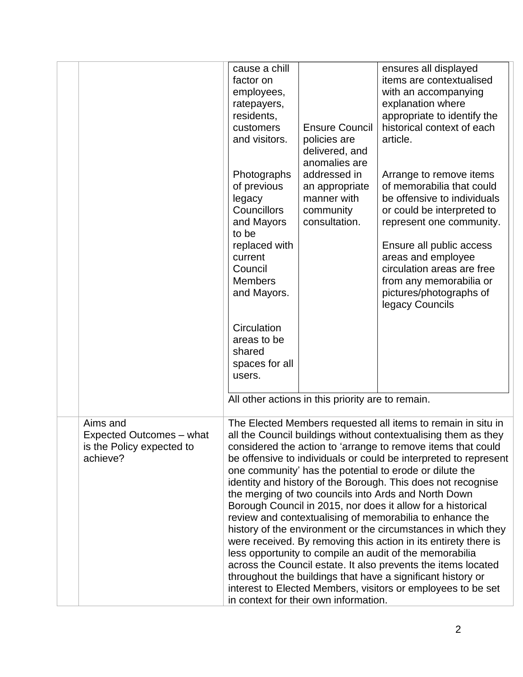|                                                                               | cause a chill<br>factor on<br>employees,<br>ratepayers,<br>residents,      |                                                                             | ensures all displayed<br>items are contextualised<br>with an accompanying<br>explanation where<br>appropriate to identify the                                                                                                                                                                                                                                                                                                                                                                                                                                                                                                                                                                                                                                                                                                                                                                                                                                                   |
|-------------------------------------------------------------------------------|----------------------------------------------------------------------------|-----------------------------------------------------------------------------|---------------------------------------------------------------------------------------------------------------------------------------------------------------------------------------------------------------------------------------------------------------------------------------------------------------------------------------------------------------------------------------------------------------------------------------------------------------------------------------------------------------------------------------------------------------------------------------------------------------------------------------------------------------------------------------------------------------------------------------------------------------------------------------------------------------------------------------------------------------------------------------------------------------------------------------------------------------------------------|
|                                                                               | customers<br>and visitors.                                                 | <b>Ensure Council</b><br>policies are<br>delivered, and<br>anomalies are    | historical context of each<br>article.                                                                                                                                                                                                                                                                                                                                                                                                                                                                                                                                                                                                                                                                                                                                                                                                                                                                                                                                          |
|                                                                               | Photographs<br>of previous<br>legacy<br>Councillors<br>and Mayors<br>to be | addressed in<br>an appropriate<br>manner with<br>community<br>consultation. | Arrange to remove items<br>of memorabilia that could<br>be offensive to individuals<br>or could be interpreted to<br>represent one community.                                                                                                                                                                                                                                                                                                                                                                                                                                                                                                                                                                                                                                                                                                                                                                                                                                   |
|                                                                               | replaced with<br>current<br>Council<br><b>Members</b><br>and Mayors.       |                                                                             | Ensure all public access<br>areas and employee<br>circulation areas are free<br>from any memorabilia or<br>pictures/photographs of<br>legacy Councils                                                                                                                                                                                                                                                                                                                                                                                                                                                                                                                                                                                                                                                                                                                                                                                                                           |
|                                                                               | Circulation<br>areas to be<br>shared<br>spaces for all<br>users.           |                                                                             |                                                                                                                                                                                                                                                                                                                                                                                                                                                                                                                                                                                                                                                                                                                                                                                                                                                                                                                                                                                 |
|                                                                               |                                                                            | All other actions in this priority are to remain.                           |                                                                                                                                                                                                                                                                                                                                                                                                                                                                                                                                                                                                                                                                                                                                                                                                                                                                                                                                                                                 |
| Aims and<br>Expected Outcomes - what<br>is the Policy expected to<br>achieve? |                                                                            | in context for their own information.                                       | The Elected Members requested all items to remain in situ in<br>all the Council buildings without contextualising them as they<br>considered the action to 'arrange to remove items that could<br>be offensive to individuals or could be interpreted to represent<br>one community' has the potential to erode or dilute the<br>identity and history of the Borough. This does not recognise<br>the merging of two councils into Ards and North Down<br>Borough Council in 2015, nor does it allow for a historical<br>review and contextualising of memorabilia to enhance the<br>history of the environment or the circumstances in which they<br>were received. By removing this action in its entirety there is<br>less opportunity to compile an audit of the memorabilia<br>across the Council estate. It also prevents the items located<br>throughout the buildings that have a significant history or<br>interest to Elected Members, visitors or employees to be set |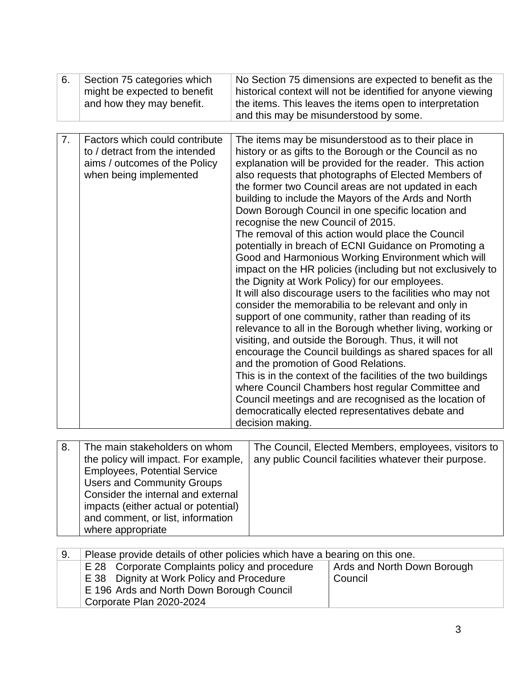| 6. | Section 75 categories which<br>might be expected to benefit<br>and how they may benefit.                                    | No Section 75 dimensions are expected to benefit as the<br>historical context will not be identified for anyone viewing<br>the items. This leaves the items open to interpretation<br>and this may be misunderstood by some.                                                                                                                                                                                                                                                                                                                                                                                                                                                                                                                                                                                                                                                                                                                                                                                                                                                                                                                                                                                                                                                                                                                                                                         |
|----|-----------------------------------------------------------------------------------------------------------------------------|------------------------------------------------------------------------------------------------------------------------------------------------------------------------------------------------------------------------------------------------------------------------------------------------------------------------------------------------------------------------------------------------------------------------------------------------------------------------------------------------------------------------------------------------------------------------------------------------------------------------------------------------------------------------------------------------------------------------------------------------------------------------------------------------------------------------------------------------------------------------------------------------------------------------------------------------------------------------------------------------------------------------------------------------------------------------------------------------------------------------------------------------------------------------------------------------------------------------------------------------------------------------------------------------------------------------------------------------------------------------------------------------------|
| 7. | Factors which could contribute<br>to / detract from the intended<br>aims / outcomes of the Policy<br>when being implemented | The items may be misunderstood as to their place in<br>history or as gifts to the Borough or the Council as no<br>explanation will be provided for the reader. This action<br>also requests that photographs of Elected Members of<br>the former two Council areas are not updated in each<br>building to include the Mayors of the Ards and North<br>Down Borough Council in one specific location and<br>recognise the new Council of 2015.<br>The removal of this action would place the Council<br>potentially in breach of ECNI Guidance on Promoting a<br>Good and Harmonious Working Environment which will<br>impact on the HR policies (including but not exclusively to<br>the Dignity at Work Policy) for our employees.<br>It will also discourage users to the facilities who may not<br>consider the memorabilia to be relevant and only in<br>support of one community, rather than reading of its<br>relevance to all in the Borough whether living, working or<br>visiting, and outside the Borough. Thus, it will not<br>encourage the Council buildings as shared spaces for all<br>and the promotion of Good Relations.<br>This is in the context of the facilities of the two buildings<br>where Council Chambers host regular Committee and<br>Council meetings and are recognised as the location of<br>democratically elected representatives debate and<br>decision making. |

| 8. | The main stakeholders on whom<br>the policy will impact. For example,<br><b>Employees, Potential Service</b><br><b>Users and Community Groups</b><br>Consider the internal and external<br>impacts (either actual or potential)<br>and comment, or list, information<br>where appropriate | The Council, Elected Members, employees, visitors to<br>any public Council facilities whatever their purpose. |
|----|-------------------------------------------------------------------------------------------------------------------------------------------------------------------------------------------------------------------------------------------------------------------------------------------|---------------------------------------------------------------------------------------------------------------|
|    |                                                                                                                                                                                                                                                                                           |                                                                                                               |

| 9. | Please provide details of other policies which have a bearing on this one. |                             |  |  |  |  |  |  |  |  |
|----|----------------------------------------------------------------------------|-----------------------------|--|--|--|--|--|--|--|--|
|    | E 28 Corporate Complaints policy and procedure                             | Ards and North Down Borough |  |  |  |  |  |  |  |  |
|    | E 38 Dignity at Work Policy and Procedure                                  | Council                     |  |  |  |  |  |  |  |  |
|    | E 196 Ards and North Down Borough Council                                  |                             |  |  |  |  |  |  |  |  |
|    | Corporate Plan 2020-2024                                                   |                             |  |  |  |  |  |  |  |  |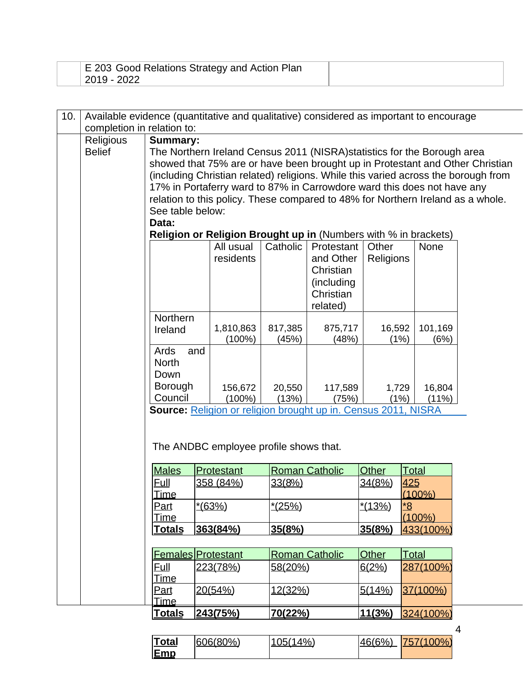| E 203 Good Relations Strategy and Action Plan<br>2019 - 2022 |  |
|--------------------------------------------------------------|--|
|--------------------------------------------------------------|--|

| 10. |                            | Available evidence (quantitative and qualitative) considered as important to encourage |     |                                        |                |                                                                                 |           |              |             |                                                                                    |  |  |  |
|-----|----------------------------|----------------------------------------------------------------------------------------|-----|----------------------------------------|----------------|---------------------------------------------------------------------------------|-----------|--------------|-------------|------------------------------------------------------------------------------------|--|--|--|
|     | completion in relation to: |                                                                                        |     |                                        |                |                                                                                 |           |              |             |                                                                                    |  |  |  |
|     | Religious                  | <b>Summary:</b>                                                                        |     |                                        |                |                                                                                 |           |              |             |                                                                                    |  |  |  |
|     | <b>Belief</b>              |                                                                                        |     |                                        |                | The Northern Ireland Census 2011 (NISRA) statistics for the Borough area        |           |              |             |                                                                                    |  |  |  |
|     |                            |                                                                                        |     |                                        |                |                                                                                 |           |              |             | showed that 75% are or have been brought up in Protestant and Other Christian      |  |  |  |
|     |                            |                                                                                        |     |                                        |                |                                                                                 |           |              |             | (including Christian related) religions. While this varied across the borough from |  |  |  |
|     |                            |                                                                                        |     |                                        |                | 17% in Portaferry ward to 87% in Carrowdore ward this does not have any         |           |              |             |                                                                                    |  |  |  |
|     |                            |                                                                                        |     |                                        |                | relation to this policy. These compared to 48% for Northern Ireland as a whole. |           |              |             |                                                                                    |  |  |  |
|     |                            | See table below:                                                                       |     |                                        |                |                                                                                 |           |              |             |                                                                                    |  |  |  |
|     |                            | Data:                                                                                  |     |                                        |                |                                                                                 |           |              |             |                                                                                    |  |  |  |
|     |                            | <b>Religion or Religion Brought up in (Numbers with % in brackets)</b>                 |     |                                        |                |                                                                                 |           |              |             |                                                                                    |  |  |  |
|     |                            |                                                                                        |     | All usual                              | Catholic       | Protestant                                                                      | Other     |              | <b>None</b> |                                                                                    |  |  |  |
|     |                            |                                                                                        |     | residents                              |                | and Other                                                                       | Religions |              |             |                                                                                    |  |  |  |
|     |                            |                                                                                        |     |                                        |                | Christian                                                                       |           |              |             |                                                                                    |  |  |  |
|     |                            |                                                                                        |     |                                        |                | (including                                                                      |           |              |             |                                                                                    |  |  |  |
|     |                            |                                                                                        |     |                                        |                | Christian                                                                       |           |              |             |                                                                                    |  |  |  |
|     |                            |                                                                                        |     |                                        |                | related)                                                                        |           |              |             |                                                                                    |  |  |  |
|     |                            | Northern                                                                               |     |                                        |                |                                                                                 |           |              |             |                                                                                    |  |  |  |
|     |                            | Ireland                                                                                |     | 1,810,863                              | 817,385        | 875,717                                                                         | 16,592    |              | 101,169     |                                                                                    |  |  |  |
|     |                            |                                                                                        |     | $(100\%)$                              | (45%)          | (48%)                                                                           |           | (1%)         | (6%)        |                                                                                    |  |  |  |
|     |                            | Ards                                                                                   | and |                                        |                |                                                                                 |           |              |             |                                                                                    |  |  |  |
|     |                            | <b>North</b>                                                                           |     |                                        |                |                                                                                 |           |              |             |                                                                                    |  |  |  |
|     |                            | Down                                                                                   |     |                                        |                |                                                                                 |           |              |             |                                                                                    |  |  |  |
|     |                            | Borough                                                                                |     | 156,672                                | 20,550         | 117,589                                                                         | 1,729     |              | 16,804      |                                                                                    |  |  |  |
|     |                            | Council                                                                                |     | $(100\%)$                              | (13%)          | (75%)                                                                           |           | (1%)         | (11%)       |                                                                                    |  |  |  |
|     |                            |                                                                                        |     |                                        |                | <b>Source:</b> Religion or religion brought up in. Census 2011, NISRA           |           |              |             |                                                                                    |  |  |  |
|     |                            |                                                                                        |     |                                        |                |                                                                                 |           |              |             |                                                                                    |  |  |  |
|     |                            |                                                                                        |     |                                        |                |                                                                                 |           |              |             |                                                                                    |  |  |  |
|     |                            |                                                                                        |     | The ANDBC employee profile shows that. |                |                                                                                 |           |              |             |                                                                                    |  |  |  |
|     |                            |                                                                                        |     |                                        |                |                                                                                 |           |              |             |                                                                                    |  |  |  |
|     |                            | <b>Males</b>                                                                           |     | Protestant                             |                | <b>Roman Catholic</b>                                                           | Other     | Total        |             |                                                                                    |  |  |  |
|     |                            | <u>Full</u>                                                                            |     | 358 (84%)                              | 33(8%)         |                                                                                 | 34(8%)    | <u>425</u>   |             |                                                                                    |  |  |  |
|     |                            | <b>Time</b>                                                                            |     |                                        |                |                                                                                 |           |              | $(100\%)$   |                                                                                    |  |  |  |
|     |                            | <u>Part</u>                                                                            |     | <u>*(63%)</u>                          | <u>*(25%)</u>  |                                                                                 | *(13%)    | $*8$         |             |                                                                                    |  |  |  |
|     |                            | Time                                                                                   |     |                                        |                |                                                                                 |           |              | $(100\%)$   |                                                                                    |  |  |  |
|     |                            | <u>Totals</u>                                                                          |     | 363(84%)                               | 35(8%)         |                                                                                 | 35(8%)    |              | 433(100%)   |                                                                                    |  |  |  |
|     |                            |                                                                                        |     |                                        |                |                                                                                 |           |              |             |                                                                                    |  |  |  |
|     |                            | <b>Females Protestant</b>                                                              |     |                                        |                | <b>Roman Catholic</b>                                                           | Other     | <b>Total</b> |             |                                                                                    |  |  |  |
|     |                            | <u>Full</u>                                                                            |     | 223(78%)                               | 58(20%)        |                                                                                 | 6(2%)     |              | 287(100%)   |                                                                                    |  |  |  |
|     |                            | Time                                                                                   |     |                                        |                |                                                                                 |           |              |             |                                                                                    |  |  |  |
|     |                            | <u>Part</u>                                                                            |     | 20(54%)                                | <u>12(32%)</u> |                                                                                 | 5(14%)    |              | 37(100%)    |                                                                                    |  |  |  |
|     |                            | <u>Time.</u>                                                                           |     |                                        |                |                                                                                 |           |              |             |                                                                                    |  |  |  |
|     |                            | <u>Totals</u>                                                                          |     | <u>243(75%)</u>                        | 70(22%)        |                                                                                 | 11(3%)    |              | 324(100%)   |                                                                                    |  |  |  |

| <u>Total</u> | 606(80%) | 105(14%) | 46(6%) | 757(100%) |  |
|--------------|----------|----------|--------|-----------|--|
| Emp          |          |          |        |           |  |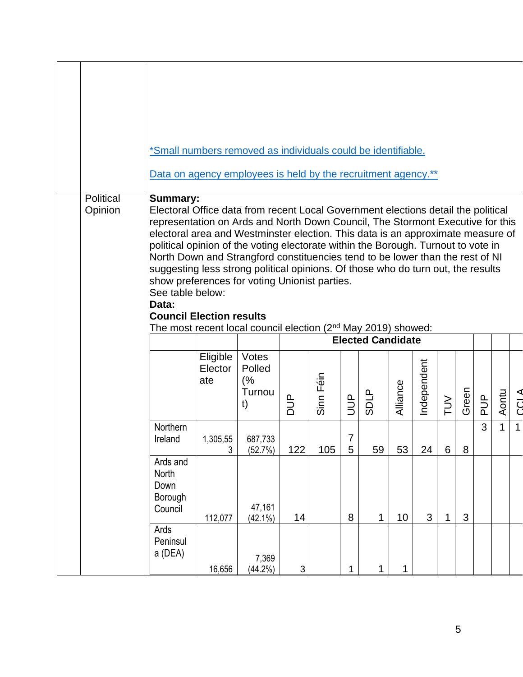|                      | *Small numbers removed as individuals could be identifiable.                                                                                                                                                                                                                                                                                                                                                                                                                                                                                                                                                                                                                                                            |                            |                                       |               |           |                     |                          |             |             |        |       |            |              |              |
|----------------------|-------------------------------------------------------------------------------------------------------------------------------------------------------------------------------------------------------------------------------------------------------------------------------------------------------------------------------------------------------------------------------------------------------------------------------------------------------------------------------------------------------------------------------------------------------------------------------------------------------------------------------------------------------------------------------------------------------------------------|----------------------------|---------------------------------------|---------------|-----------|---------------------|--------------------------|-------------|-------------|--------|-------|------------|--------------|--------------|
|                      | Data on agency employees is held by the recruitment agency.**                                                                                                                                                                                                                                                                                                                                                                                                                                                                                                                                                                                                                                                           |                            |                                       |               |           |                     |                          |             |             |        |       |            |              |              |
| Political<br>Opinion | <b>Summary:</b><br>Electoral Office data from recent Local Government elections detail the political<br>representation on Ards and North Down Council, The Stormont Executive for this<br>electoral area and Westminster election. This data is an approximate measure of<br>political opinion of the voting electorate within the Borough. Turnout to vote in<br>North Down and Strangford constituencies tend to be lower than the rest of NI<br>suggesting less strong political opinions. Of those who do turn out, the results<br>show preferences for voting Unionist parties.<br>See table below:<br>Data:<br><b>Council Election results</b><br>The most recent local council election $(2nd$ May 2019) showed: |                            |                                       |               |           |                     |                          |             |             |        |       |            |              |              |
|                      |                                                                                                                                                                                                                                                                                                                                                                                                                                                                                                                                                                                                                                                                                                                         |                            |                                       |               |           |                     | <b>Elected Candidate</b> |             |             |        |       |            |              |              |
|                      |                                                                                                                                                                                                                                                                                                                                                                                                                                                                                                                                                                                                                                                                                                                         | Eligible<br>Elector<br>ate | Votes<br>Polled<br>(%<br>Turnou<br>t) | $\frac{1}{2}$ | Sinn Féin | $\frac{1}{2}$       | <b>SDLP</b>              | Alliance    | Independent | $\geq$ | Green | <b>AUP</b> | Aontu        | <b>CCLA</b>  |
|                      | <b>Northern</b><br>Ireland                                                                                                                                                                                                                                                                                                                                                                                                                                                                                                                                                                                                                                                                                              | 1,305,55<br>3              | 687,733<br>(52.7%)                    | 122           | 105       | $\overline{7}$<br>5 | 59                       | 53          | 24          | 6      | 8     | 3          | $\mathbf{1}$ | $\mathbf{1}$ |
|                      | Ards and<br>North<br>Down<br>Borough<br>Council                                                                                                                                                                                                                                                                                                                                                                                                                                                                                                                                                                                                                                                                         | 112,077                    | 47,161<br>$(42.1\%)$                  | 14            |           | 8                   | $\mathbf{1}$             | 10          | 3           | 1      | 3     |            |              |              |
|                      | Ards<br>Peninsul<br>a (DEA)                                                                                                                                                                                                                                                                                                                                                                                                                                                                                                                                                                                                                                                                                             | 16,656                     | 7,369<br>$(44.2\%)$                   | 3             |           | $\mathbf{1}$        | 1                        | $\mathbf 1$ |             |        |       |            |              |              |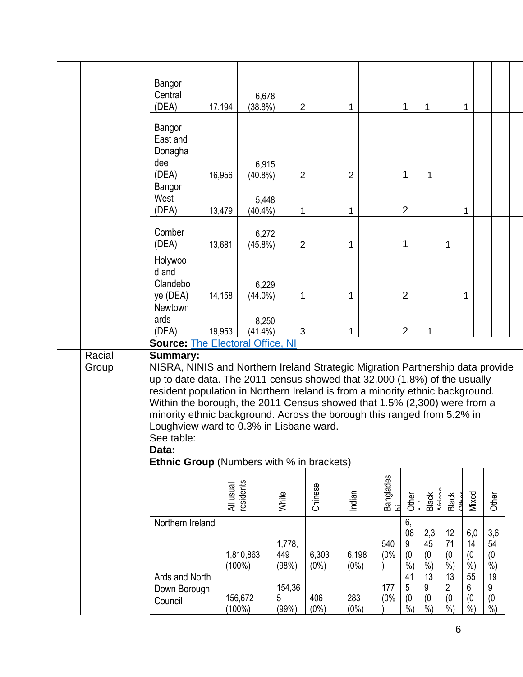|                 | Bangor<br>Central<br>(DEA)                                                                                                                                                                                                                                                                                                                                                                                                                                                                                                                   | 17,194    | 6,678<br>$(38.8\%)$    | $\overline{2}$         |                  | 1                |            | 1                             | 1                                 |                         | 1                                 |                                   |  |
|-----------------|----------------------------------------------------------------------------------------------------------------------------------------------------------------------------------------------------------------------------------------------------------------------------------------------------------------------------------------------------------------------------------------------------------------------------------------------------------------------------------------------------------------------------------------------|-----------|------------------------|------------------------|------------------|------------------|------------|-------------------------------|-----------------------------------|-------------------------|-----------------------------------|-----------------------------------|--|
|                 | Bangor<br>East and<br>Donagha<br>dee<br>(DEA)                                                                                                                                                                                                                                                                                                                                                                                                                                                                                                | 16,956    | 6,915<br>$(40.8\%)$    | $\overline{2}$         |                  | $\overline{2}$   |            | $\mathbf{1}$                  | $\mathbf{1}$                      |                         |                                   |                                   |  |
|                 | Bangor<br>West<br>(DEA)                                                                                                                                                                                                                                                                                                                                                                                                                                                                                                                      | 13,479    | 5,448<br>$(40.4\%)$    | 1                      |                  | $\mathbf 1$      |            | $\overline{2}$                |                                   |                         | 1                                 |                                   |  |
|                 | Comber<br>(DEA)                                                                                                                                                                                                                                                                                                                                                                                                                                                                                                                              | 13,681    | 6,272<br>$(45.8\%)$    | $\overline{2}$         |                  | 1                |            | 1                             |                                   | 1                       |                                   |                                   |  |
|                 | Holywoo<br>d and<br>Clandebo<br>ye (DEA)                                                                                                                                                                                                                                                                                                                                                                                                                                                                                                     | 14,158    | 6,229<br>$(44.0\%)$    | 1                      |                  | 1                |            | $\overline{2}$                |                                   |                         | 1                                 |                                   |  |
|                 | Newtown<br>ards<br>(DEA)<br><b>Source: The Electoral Office, NI</b>                                                                                                                                                                                                                                                                                                                                                                                                                                                                          | 19,953    | 8,250<br>$(41.4\%)$    | 3                      |                  | 1                |            | $\overline{2}$                | 1                                 |                         |                                   |                                   |  |
| Racial<br>Group | <b>Summary:</b><br>NISRA, NINIS and Northern Ireland Strategic Migration Partnership data provide<br>up to date data. The 2011 census showed that 32,000 (1.8%) of the usually<br>resident population in Northern Ireland is from a minority ethnic background.<br>Within the borough, the 2011 Census showed that 1.5% (2,300) were from a<br>minority ethnic background. Across the borough this ranged from 5.2% in<br>Loughview ward to 0.3% in Lisbane ward.<br>See table:<br>Data:<br><b>Ethnic Group</b> (Numbers with % in brackets) |           |                        |                        |                  |                  |            |                               |                                   |                         |                                   |                                   |  |
|                 |                                                                                                                                                                                                                                                                                                                                                                                                                                                                                                                                              | All usual | residents              | White                  | Chinese          | Indian           |            | Banglades<br>hi<br>Other      | Black<br>African                  | Black<br>Other          | Mixed                             | Other                             |  |
|                 | Northern Ireland                                                                                                                                                                                                                                                                                                                                                                                                                                                                                                                             |           | 1,810,863<br>$(100\%)$ | 1,778,<br>449<br>(98%) | 6,303<br>$(0\%)$ | 6,198<br>$(0\%)$ | 540<br>(0% | 6,<br>08<br>9<br>(0)<br>$%$ ) | 2,3<br>45<br>(0)<br>$\frac{6}{6}$ | 12<br>71<br>(0)<br>%    | 6,0<br>14<br>(0)<br>$\frac{6}{6}$ | 3,6<br>54<br>(0)<br>$\frac{6}{6}$ |  |
|                 | Ards and North<br>Down Borough<br>Council                                                                                                                                                                                                                                                                                                                                                                                                                                                                                                    |           | 156,672<br>$(100\%)$   | 154,36<br>5<br>(99%)   | 406<br>$(0\%)$   | 283<br>$(0\%)$   | 177<br>(0% | 41<br>5<br>(0)<br>$%$ )       | 13<br>9<br>(0)<br>$%$ )           | 13<br>2<br>(0)<br>$%$ ) | 55<br>6<br>(0)<br>$%$ )           | 19<br>9<br>(0)<br>$\frac{6}{6}$   |  |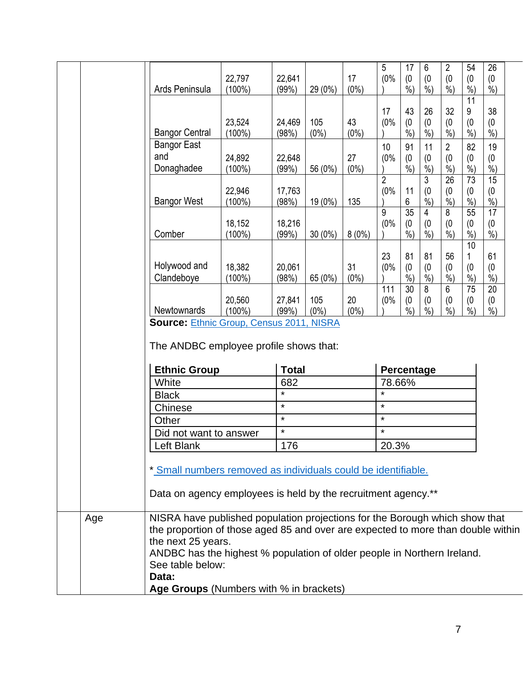|                                                                                                                                              |           |                |           |          | 5                 | 17              | 6              | $\overline{2}$ | 54      | 26              |  |
|----------------------------------------------------------------------------------------------------------------------------------------------|-----------|----------------|-----------|----------|-------------------|-----------------|----------------|----------------|---------|-----------------|--|
|                                                                                                                                              | 22,797    | 22,641         |           | 17       | (0%               | (0)             | (0)            | (0)            | (0)     | (0)             |  |
| Ards Peninsula                                                                                                                               | $(100\%)$ | (99%)          | 29 (0%)   | $(0\%)$  |                   | $%$ )           | $%$ )          | $%$ )          | $%$ )   | $%$ )           |  |
|                                                                                                                                              |           |                |           |          |                   |                 |                |                | 11      |                 |  |
|                                                                                                                                              |           |                |           |          | 17                | 43              | 26             | 32             | 9       | 38              |  |
|                                                                                                                                              | 23,524    | 24,469         | 105       | 43       | (0%               | (0)             | (0)            | (0)            | (0)     | (0)             |  |
| <b>Bangor Central</b>                                                                                                                        | $(100\%)$ | (98%)          | $(0\%)$   | $(0\%)$  |                   | $%$ )           | $%$ )          | $%$ )          | $%$ )   | $%$ )           |  |
| <b>Bangor East</b>                                                                                                                           |           |                |           |          | 10                | 91              | 11             | $\overline{2}$ | 82      | 19              |  |
| and                                                                                                                                          | 24,892    | 22,648         |           | 27       | (0%               | (0)             | (0)            | (0)            | (0)     | (0)             |  |
| Donaghadee                                                                                                                                   | $(100\%)$ | (99%)          | 56 (0%)   | $(0\%)$  |                   | $%$ )           | %              | %              | $%$ )   | $\frac{0}{0}$   |  |
|                                                                                                                                              |           |                |           |          | $\overline{2}$    |                 | 3              | 26             | 73      | 15              |  |
|                                                                                                                                              | 22,946    | 17,763         |           |          | (0%               | 11              | (0)            | (0)            | (0)     | (0)             |  |
| <b>Bangor West</b>                                                                                                                           | $(100\%)$ | (98%)          | 19 (0%)   | 135      |                   | 6               | $%$ )          | $\frac{6}{6}$  | $%$ )   | $\frac{6}{6}$   |  |
|                                                                                                                                              |           |                |           |          | 9                 | $\overline{35}$ | 4              | 8              | 55      | $\overline{17}$ |  |
|                                                                                                                                              | 18,152    | 18,216         |           |          | (0%               | (0)             | (0)            | (0)            | (0)     | (0)             |  |
| Comber                                                                                                                                       | $(100\%)$ | (99%)          | $30(0\%)$ | $8(0\%)$ |                   | $%$ )           | $%$ )          | $%$ )          | $%$ )   | $%$ )           |  |
|                                                                                                                                              |           |                |           |          | 23                | 81              | 81             | 56             | 10<br>1 | 61              |  |
| Holywood and                                                                                                                                 | 18,382    | 20,061         |           | 31       | (0%               | (0)             | (0)            | (0)            | (0)     | (0)             |  |
| Clandeboye                                                                                                                                   | $(100\%)$ | (98%)          | 65 (0%)   | $(0\%)$  |                   | $%$ )           | $%$ )          | $%$ )          | $%$ )   | $\frac{0}{0}$   |  |
|                                                                                                                                              |           |                |           |          | 111               | $\overline{30}$ | $8\phantom{1}$ | $6\phantom{1}$ | 75      | 20              |  |
|                                                                                                                                              | 20,560    | 27,841         | 105       | 20       | (0%               | (0)             | (0)            | (0)            | (0)     | (0)             |  |
| Newtownards                                                                                                                                  | $(100\%)$ | (99%)          | $(0\%)$   | $(0\%)$  |                   | $%$ )           | $%$ )          | $%$ )          | $%$ )   | $%$ )           |  |
| <b>Source: Ethnic Group, Census 2011, NISRA</b>                                                                                              |           |                |           |          |                   |                 |                |                |         |                 |  |
| The ANDBC employee profile shows that:                                                                                                       |           |                |           |          |                   |                 |                |                |         |                 |  |
| <b>Ethnic Group</b>                                                                                                                          |           | <b>Total</b>   |           |          | Percentage        |                 |                |                |         |                 |  |
| White                                                                                                                                        |           | 682<br>$\star$ |           |          | 78.66%<br>$\star$ |                 |                |                |         |                 |  |
| <b>Black</b>                                                                                                                                 |           | $\star$        |           |          | $\star$           |                 |                |                |         |                 |  |
| Chinese                                                                                                                                      |           | $\star$        |           |          | $\star$           |                 |                |                |         |                 |  |
| Other                                                                                                                                        |           | $\star$        |           |          | $\star$           |                 |                |                |         |                 |  |
| Did not want to answer                                                                                                                       |           | 176            |           |          |                   |                 |                |                |         |                 |  |
| Left Blank<br>* Small numbers removed as individuals could be identifiable.<br>Data on agency employees is held by the recruitment agency.** |           |                |           |          | 20.3%             |                 |                |                |         |                 |  |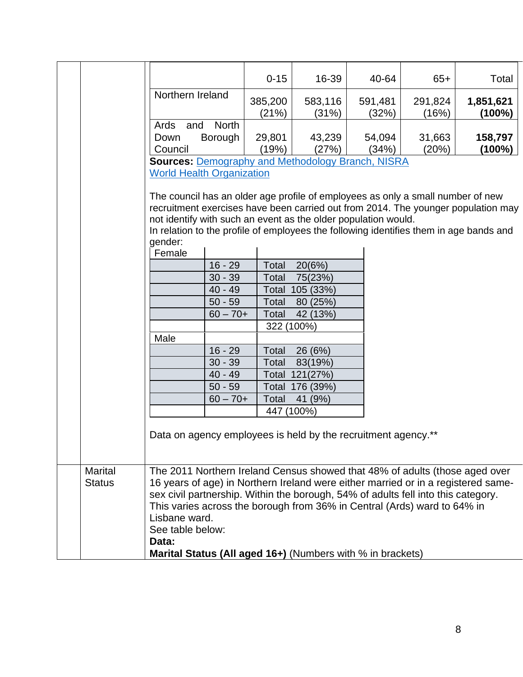|                |                                  |              | $0 - 15$   | 16-39                                                                                                                                             | 40-64   | $65+$   | Total                                                                                                                                                                       |
|----------------|----------------------------------|--------------|------------|---------------------------------------------------------------------------------------------------------------------------------------------------|---------|---------|-----------------------------------------------------------------------------------------------------------------------------------------------------------------------------|
|                | Northern Ireland                 |              | 385,200    | 583,116                                                                                                                                           | 591,481 | 291,824 | 1,851,621                                                                                                                                                                   |
|                |                                  |              | (21%)      | (31%)                                                                                                                                             | (32%)   | (16%)   | (100%)                                                                                                                                                                      |
|                | and<br>Ards                      | <b>North</b> |            |                                                                                                                                                   |         |         |                                                                                                                                                                             |
|                | Down                             | Borough      | 29,801     | 43,239                                                                                                                                            | 54,094  | 31,663  | 158,797                                                                                                                                                                     |
|                | Council                          |              | (19%)      | (27%)                                                                                                                                             | (34%)   | (20%)   | (100%)                                                                                                                                                                      |
|                |                                  |              |            | <b>Sources: Demography and Methodology Branch, NISRA</b>                                                                                          |         |         |                                                                                                                                                                             |
|                | <b>World Health Organization</b> |              |            |                                                                                                                                                   |         |         |                                                                                                                                                                             |
|                | gender:                          |              |            | The council has an older age profile of employees as only a small number of new<br>not identify with such an event as the older population would. |         |         | recruitment exercises have been carried out from 2014. The younger population may<br>In relation to the profile of employees the following identifies them in age bands and |
|                | Female                           |              |            |                                                                                                                                                   |         |         |                                                                                                                                                                             |
|                |                                  | $16 - 29$    | Total      | 20(6%)                                                                                                                                            |         |         |                                                                                                                                                                             |
|                |                                  | $30 - 39$    | Total      | 75(23%)                                                                                                                                           |         |         |                                                                                                                                                                             |
|                |                                  | $40 - 49$    | Total      | 105 (33%)                                                                                                                                         |         |         |                                                                                                                                                                             |
|                |                                  | $50 - 59$    | Total      | 80 (25%)                                                                                                                                          |         |         |                                                                                                                                                                             |
|                |                                  | $60 - 70 +$  | Total      | 42 (13%)                                                                                                                                          |         |         |                                                                                                                                                                             |
|                |                                  |              | 322 (100%) |                                                                                                                                                   |         |         |                                                                                                                                                                             |
|                | Male                             |              |            |                                                                                                                                                   |         |         |                                                                                                                                                                             |
|                |                                  | $16 - 29$    | Total      | 26 (6%)                                                                                                                                           |         |         |                                                                                                                                                                             |
|                |                                  | $30 - 39$    | Total      | 83(19%)                                                                                                                                           |         |         |                                                                                                                                                                             |
|                |                                  | $40 - 49$    |            | Total 121(27%)                                                                                                                                    |         |         |                                                                                                                                                                             |
|                |                                  | $50 - 59$    | Total      | 176 (39%)                                                                                                                                         |         |         |                                                                                                                                                                             |
|                |                                  | $60 - 70 +$  | Total      | 41 (9%)                                                                                                                                           |         |         |                                                                                                                                                                             |
|                |                                  |              | 447 (100%) |                                                                                                                                                   |         |         |                                                                                                                                                                             |
|                |                                  |              |            | Data on agency employees is held by the recruitment agency.**                                                                                     |         |         |                                                                                                                                                                             |
| <b>Marital</b> |                                  |              |            |                                                                                                                                                   |         |         | The 2011 Northern Ireland Census showed that 48% of adults (those aged over                                                                                                 |
| <b>Status</b>  |                                  |              |            |                                                                                                                                                   |         |         | 16 years of age) in Northern Ireland were either married or in a registered same-                                                                                           |
|                |                                  |              |            | sex civil partnership. Within the borough, 54% of adults fell into this category.                                                                 |         |         |                                                                                                                                                                             |
|                |                                  |              |            | This varies across the borough from 36% in Central (Ards) ward to 64% in                                                                          |         |         |                                                                                                                                                                             |
|                | Lisbane ward.                    |              |            |                                                                                                                                                   |         |         |                                                                                                                                                                             |
|                | See table below:                 |              |            |                                                                                                                                                   |         |         |                                                                                                                                                                             |
|                | Data:                            |              |            |                                                                                                                                                   |         |         |                                                                                                                                                                             |
|                |                                  |              |            | Marital Status (All aged 16+) (Numbers with % in brackets)                                                                                        |         |         |                                                                                                                                                                             |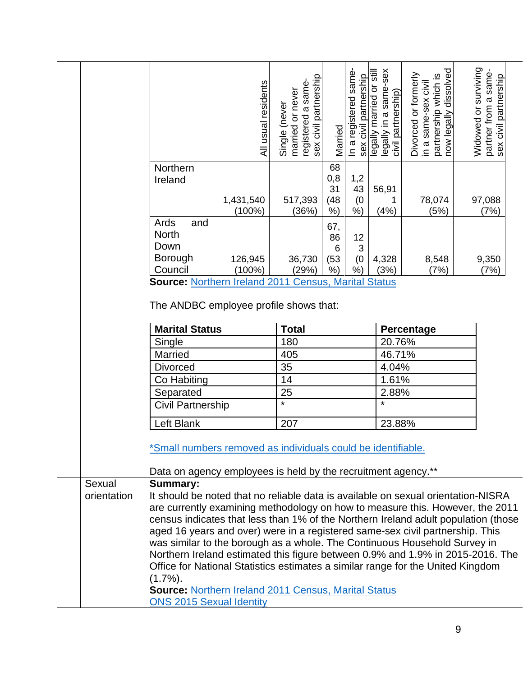|                       |                                                                                                                               | All usual residents    | sex civil partnership<br>registered a same-<br>married or never<br>Single (never | Married                      | In a registered same<br>sex civil partnership | legally married or still<br>legally in a same-sex<br>civil partnership) | partnership which is<br>now legally dissolved<br>Divorced or formerly<br>in a same-sex civil | Widowed or surviving<br>partner from a same-<br>sex civil partnership |
|-----------------------|-------------------------------------------------------------------------------------------------------------------------------|------------------------|----------------------------------------------------------------------------------|------------------------------|-----------------------------------------------|-------------------------------------------------------------------------|----------------------------------------------------------------------------------------------|-----------------------------------------------------------------------|
|                       | Northern<br>Ireland                                                                                                           | 1,431,540<br>$(100\%)$ | 517,393<br>(36%)                                                                 | 68<br>0,8<br>31<br>(48)<br>% | 1,2<br>43<br>(0)<br>$%$ )                     | 56,91<br>1<br>(4% )                                                     | 78,074<br>(5%)                                                                               | 97,088<br>(7%)                                                        |
|                       | Ards<br>and<br><b>North</b><br>Down<br><b>Borough</b><br>Council                                                              | 126,945<br>$(100\%)$   | 36,730<br>(29%)                                                                  | 67,<br>86<br>6<br>(53)<br>%  | 12<br>3<br>(0)<br>$%$ )                       | 4,328<br>(3%)                                                           | 8,548<br>(7%)                                                                                | 9,350<br>(7%)                                                         |
|                       | <b>Source: Northern Ireland 2011 Census, Marital Status</b><br>The ANDBC employee profile shows that:                         |                        |                                                                                  |                              |                                               |                                                                         |                                                                                              |                                                                       |
|                       | <b>Marital Status</b>                                                                                                         |                        | <b>Total</b>                                                                     |                              |                                               |                                                                         | Percentage                                                                                   |                                                                       |
|                       | Single                                                                                                                        |                        | 180                                                                              |                              |                                               | 20.76%                                                                  |                                                                                              |                                                                       |
|                       | Married                                                                                                                       |                        | 405                                                                              |                              |                                               | 46.71%                                                                  |                                                                                              |                                                                       |
|                       | <b>Divorced</b>                                                                                                               |                        | 35                                                                               |                              |                                               | 4.04%                                                                   |                                                                                              |                                                                       |
|                       | Co Habiting                                                                                                                   |                        | 14                                                                               |                              |                                               | 1.61%                                                                   |                                                                                              |                                                                       |
|                       | Separated                                                                                                                     |                        | 25                                                                               |                              | 2.88%                                         |                                                                         |                                                                                              |                                                                       |
|                       | Civil Partnership                                                                                                             |                        | $\star$                                                                          | $\star$                      |                                               |                                                                         |                                                                                              |                                                                       |
|                       | Left Blank                                                                                                                    |                        |                                                                                  |                              |                                               |                                                                         |                                                                                              |                                                                       |
|                       |                                                                                                                               |                        |                                                                                  | 207<br>23.88%                |                                               |                                                                         |                                                                                              |                                                                       |
|                       | *Small numbers removed as individuals could be identifiable.<br>Data on agency employees is held by the recruitment agency.** |                        |                                                                                  |                              |                                               |                                                                         |                                                                                              |                                                                       |
| Sexual<br>orientation | <b>Summary:</b><br>It should be noted that no reliable data is available on sexual orientation-NISRA                          |                        |                                                                                  |                              |                                               |                                                                         |                                                                                              |                                                                       |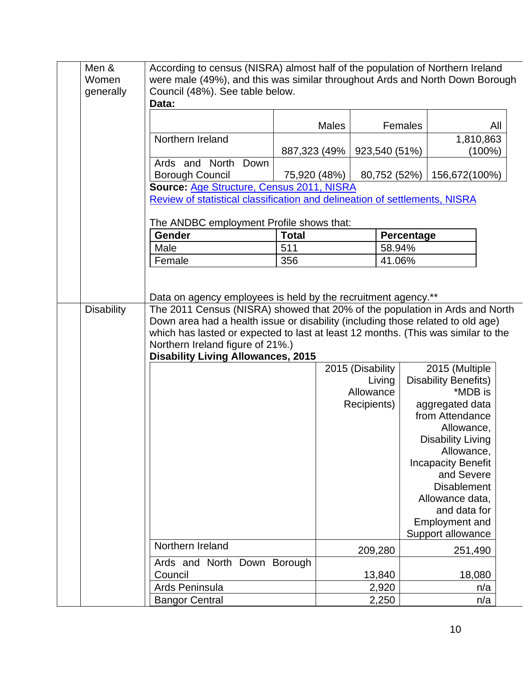| generally | Council (48%). See table below.                                                                                                                                    |              |                  |            | were male (49%), and this was similar throughout Ards and North Down Borough |
|-----------|--------------------------------------------------------------------------------------------------------------------------------------------------------------------|--------------|------------------|------------|------------------------------------------------------------------------------|
|           | Data:                                                                                                                                                              |              |                  |            |                                                                              |
|           |                                                                                                                                                                    | <b>Males</b> |                  | Females    | All                                                                          |
|           | Northern Ireland                                                                                                                                                   |              |                  |            | 1,810,863                                                                    |
|           |                                                                                                                                                                    | 887,323 (49% | 923,540 (51%)    |            | (100%)                                                                       |
|           | Ards and North<br>Down<br><b>Borough Council</b>                                                                                                                   | 75,920 (48%) | 80,752 (52%)     |            | 156,672(100%)                                                                |
|           | Source: Age Structure, Census 2011, NISRA                                                                                                                          |              |                  |            |                                                                              |
|           | Review of statistical classification and delineation of settlements, NISRA                                                                                         |              |                  |            |                                                                              |
|           |                                                                                                                                                                    |              |                  |            |                                                                              |
|           | The ANDBC employment Profile shows that:                                                                                                                           |              |                  |            |                                                                              |
|           | Gender                                                                                                                                                             | <b>Total</b> |                  | Percentage |                                                                              |
|           | Male                                                                                                                                                               | 511          | 58.94%           |            |                                                                              |
|           | Female                                                                                                                                                             | 356          | 41.06%           |            |                                                                              |
|           | which has lasted or expected to last at least 12 months. (This was similar to the<br>Northern Ireland figure of 21%.)<br><b>Disability Living Allowances, 2015</b> |              |                  |            |                                                                              |
|           |                                                                                                                                                                    |              | 2015 (Disability |            | 2015 (Multiple                                                               |
|           |                                                                                                                                                                    |              | Living           |            | <b>Disability Benefits)</b>                                                  |
|           |                                                                                                                                                                    |              |                  |            |                                                                              |
|           |                                                                                                                                                                    |              | Allowance        |            | *MDB is                                                                      |
|           |                                                                                                                                                                    |              | Recipients)      |            | aggregated data                                                              |
|           |                                                                                                                                                                    |              |                  |            | from Attendance                                                              |
|           |                                                                                                                                                                    |              |                  |            | Allowance,                                                                   |
|           |                                                                                                                                                                    |              |                  |            | <b>Disability Living</b>                                                     |
|           |                                                                                                                                                                    |              |                  |            | Allowance,                                                                   |
|           |                                                                                                                                                                    |              |                  |            | <b>Incapacity Benefit</b>                                                    |
|           |                                                                                                                                                                    |              |                  |            | and Severe                                                                   |
|           |                                                                                                                                                                    |              |                  |            | <b>Disablement</b>                                                           |
|           |                                                                                                                                                                    |              |                  |            | Allowance data,<br>and data for                                              |
|           |                                                                                                                                                                    |              |                  |            | <b>Employment and</b>                                                        |
|           |                                                                                                                                                                    |              |                  |            | Support allowance                                                            |
|           | Northern Ireland                                                                                                                                                   |              | 209,280          |            | 251,490                                                                      |
|           | Ards and North Down Borough                                                                                                                                        |              |                  |            |                                                                              |
|           | Council                                                                                                                                                            |              | 13,840           |            | 18,080                                                                       |
|           | Ards Peninsula<br><b>Bangor Central</b>                                                                                                                            |              | 2,920<br>2,250   |            | n/a<br>n/a                                                                   |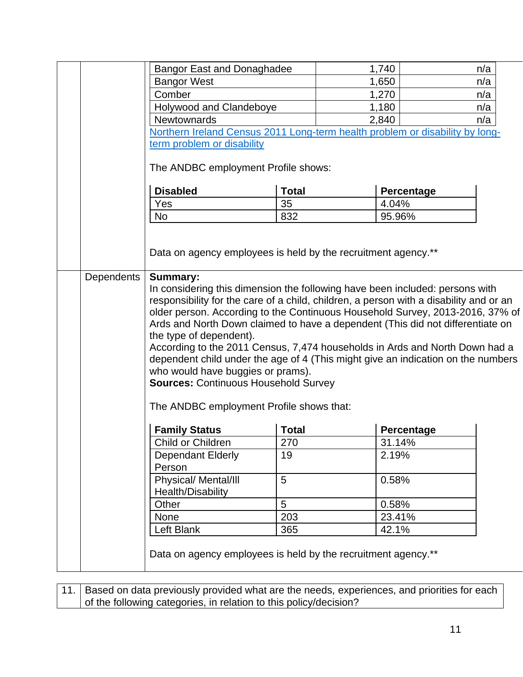|            | <b>Bangor East and Donaghadee</b>                                                                      |              | 1,740             | n/a |
|------------|--------------------------------------------------------------------------------------------------------|--------------|-------------------|-----|
|            | <b>Bangor West</b>                                                                                     |              | 1,650             | n/a |
|            | Comber                                                                                                 |              | 1,270             | n/a |
|            | Holywood and Clandeboye                                                                                |              | 1,180             | n/a |
|            | <b>Newtownards</b>                                                                                     |              | 2,840             | n/a |
|            | Northern Ireland Census 2011 Long-term health problem or disability by long-                           |              |                   |     |
|            | term problem or disability                                                                             |              |                   |     |
|            | The ANDBC employment Profile shows:                                                                    |              |                   |     |
|            |                                                                                                        |              |                   |     |
|            | <b>Disabled</b>                                                                                        | <b>Total</b> | Percentage        |     |
|            | Yes                                                                                                    | 35           | 4.04%             |     |
|            | <b>No</b>                                                                                              | 832          | 95.96%            |     |
|            |                                                                                                        |              |                   |     |
|            | Data on agency employees is held by the recruitment agency.**                                          |              |                   |     |
| Dependents | <b>Summary:</b>                                                                                        |              |                   |     |
|            | In considering this dimension the following have been included: persons with                           |              |                   |     |
|            | responsibility for the care of a child, children, a person with a disability and or an                 |              |                   |     |
|            | older person. According to the Continuous Household Survey, 2013-2016, 37% of                          |              |                   |     |
|            | Ards and North Down claimed to have a dependent (This did not differentiate on                         |              |                   |     |
|            | the type of dependent).<br>According to the 2011 Census, 7,474 households in Ards and North Down had a |              |                   |     |
|            | dependent child under the age of 4 (This might give an indication on the numbers                       |              |                   |     |
|            | who would have buggies or prams).                                                                      |              |                   |     |
|            | <b>Sources: Continuous Household Survey</b>                                                            |              |                   |     |
|            |                                                                                                        |              |                   |     |
|            | The ANDBC employment Profile shows that:                                                               |              |                   |     |
|            | <b>Family Status</b>                                                                                   | <b>Total</b> | <b>Percentage</b> |     |
|            | Child or Children                                                                                      | 270          | 31.14%            |     |
|            | <b>Dependant Elderly</b><br>Person                                                                     | 19           | 2.19%             |     |
|            | Physical/ Mental/III                                                                                   | 5            | 0.58%             |     |
|            | Health/Disability                                                                                      |              |                   |     |
|            | Other                                                                                                  | 5            | 0.58%             |     |
|            | <b>None</b>                                                                                            | 203          | 23.41%            |     |
|            | Left Blank                                                                                             | 365          | 42.1%             |     |
|            |                                                                                                        |              |                   |     |
|            | Data on agency employees is held by the recruitment agency.**                                          |              |                   |     |
|            |                                                                                                        |              |                   |     |

11. Based on data previously provided what are the needs, experiences, and priorities for each of the following categories, in relation to this policy/decision?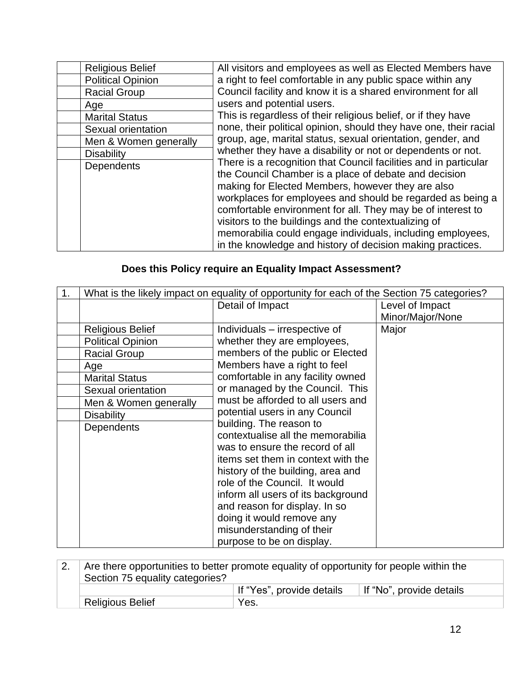| <b>Religious Belief</b>  | All visitors and employees as well as Elected Members have                                                                                                                                                                                                                                                                                                                                                                                                                                      |
|--------------------------|-------------------------------------------------------------------------------------------------------------------------------------------------------------------------------------------------------------------------------------------------------------------------------------------------------------------------------------------------------------------------------------------------------------------------------------------------------------------------------------------------|
| <b>Political Opinion</b> | a right to feel comfortable in any public space within any                                                                                                                                                                                                                                                                                                                                                                                                                                      |
| <b>Racial Group</b>      | Council facility and know it is a shared environment for all                                                                                                                                                                                                                                                                                                                                                                                                                                    |
| Age                      | users and potential users.                                                                                                                                                                                                                                                                                                                                                                                                                                                                      |
| <b>Marital Status</b>    | This is regardless of their religious belief, or if they have                                                                                                                                                                                                                                                                                                                                                                                                                                   |
| Sexual orientation       | none, their political opinion, should they have one, their racial                                                                                                                                                                                                                                                                                                                                                                                                                               |
| Men & Women generally    | group, age, marital status, sexual orientation, gender, and                                                                                                                                                                                                                                                                                                                                                                                                                                     |
| <b>Disability</b>        | whether they have a disability or not or dependents or not.                                                                                                                                                                                                                                                                                                                                                                                                                                     |
| <b>Dependents</b>        | There is a recognition that Council facilities and in particular<br>the Council Chamber is a place of debate and decision<br>making for Elected Members, however they are also<br>workplaces for employees and should be regarded as being a<br>comfortable environment for all. They may be of interest to<br>visitors to the buildings and the contextualizing of<br>memorabilia could engage individuals, including employees,<br>in the knowledge and history of decision making practices. |

# **Does this Policy require an Equality Impact Assessment?**

| 1. | What is the likely impact on equality of opportunity for each of the Section 75 categories? |                                    |                  |  |  |
|----|---------------------------------------------------------------------------------------------|------------------------------------|------------------|--|--|
|    |                                                                                             | Detail of Impact                   | Level of Impact  |  |  |
|    |                                                                                             |                                    | Minor/Major/None |  |  |
|    | <b>Religious Belief</b>                                                                     | Individuals – irrespective of      | Major            |  |  |
|    | <b>Political Opinion</b>                                                                    | whether they are employees,        |                  |  |  |
|    | <b>Racial Group</b>                                                                         | members of the public or Elected   |                  |  |  |
|    | Age                                                                                         | Members have a right to feel       |                  |  |  |
|    | <b>Marital Status</b>                                                                       | comfortable in any facility owned  |                  |  |  |
|    | Sexual orientation                                                                          | or managed by the Council. This    |                  |  |  |
|    | Men & Women generally                                                                       | must be afforded to all users and  |                  |  |  |
|    | <b>Disability</b>                                                                           | potential users in any Council     |                  |  |  |
|    | Dependents                                                                                  | building. The reason to            |                  |  |  |
|    |                                                                                             | contextualise all the memorabilia  |                  |  |  |
|    |                                                                                             | was to ensure the record of all    |                  |  |  |
|    |                                                                                             | items set them in context with the |                  |  |  |
|    |                                                                                             | history of the building, area and  |                  |  |  |
|    |                                                                                             | role of the Council. It would      |                  |  |  |
|    |                                                                                             | inform all users of its background |                  |  |  |
|    |                                                                                             | and reason for display. In so      |                  |  |  |
|    |                                                                                             | doing it would remove any          |                  |  |  |
|    |                                                                                             | misunderstanding of their          |                  |  |  |
|    |                                                                                             | purpose to be on display.          |                  |  |  |

| Are there opportunities to better promote equality of opportunity for people within the |                           |                          |  |  |
|-----------------------------------------------------------------------------------------|---------------------------|--------------------------|--|--|
| Section 75 equality categories?                                                         |                           |                          |  |  |
|                                                                                         | If "Yes", provide details | If "No", provide details |  |  |
| <b>Religious Belief</b>                                                                 | Yes.                      |                          |  |  |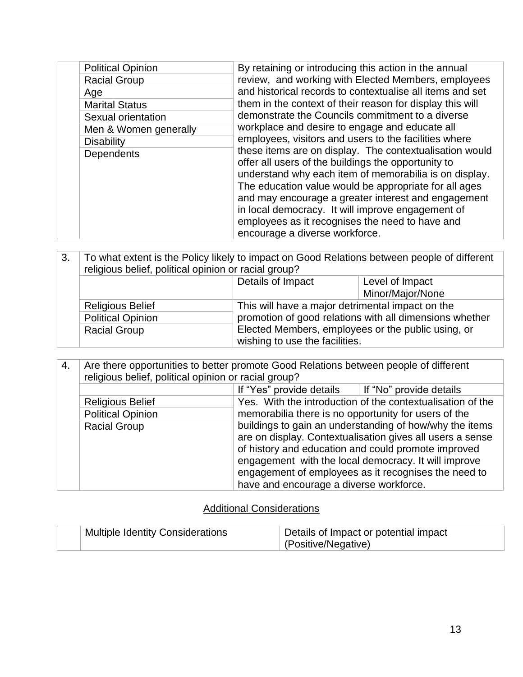| <b>Political Opinion</b> | By retaining or introducing this action in the annual                                                                                                                                                                                                                                                                                                                                                                              |
|--------------------------|------------------------------------------------------------------------------------------------------------------------------------------------------------------------------------------------------------------------------------------------------------------------------------------------------------------------------------------------------------------------------------------------------------------------------------|
| <b>Racial Group</b>      | review, and working with Elected Members, employees                                                                                                                                                                                                                                                                                                                                                                                |
| Age                      | and historical records to contextualise all items and set                                                                                                                                                                                                                                                                                                                                                                          |
| <b>Marital Status</b>    | them in the context of their reason for display this will                                                                                                                                                                                                                                                                                                                                                                          |
| Sexual orientation       | demonstrate the Councils commitment to a diverse                                                                                                                                                                                                                                                                                                                                                                                   |
| Men & Women generally    | workplace and desire to engage and educate all                                                                                                                                                                                                                                                                                                                                                                                     |
| <b>Disability</b>        | employees, visitors and users to the facilities where                                                                                                                                                                                                                                                                                                                                                                              |
| Dependents               | these items are on display. The contextualisation would<br>offer all users of the buildings the opportunity to<br>understand why each item of memorabilia is on display.<br>The education value would be appropriate for all ages<br>and may encourage a greater interest and engagement<br>in local democracy. It will improve engagement of<br>employees as it recognises the need to have and<br>encourage a diverse workforce. |

| 3. | To what extent is the Policy likely to impact on Good Relations between people of different<br>religious belief, political opinion or racial group? |                                                                                                               |                  |  |
|----|-----------------------------------------------------------------------------------------------------------------------------------------------------|---------------------------------------------------------------------------------------------------------------|------------------|--|
|    |                                                                                                                                                     | Details of Impact<br>Level of Impact                                                                          |                  |  |
|    |                                                                                                                                                     |                                                                                                               | Minor/Major/None |  |
|    | <b>Religious Belief</b>                                                                                                                             | This will have a major detrimental impact on the                                                              |                  |  |
|    | <b>Political Opinion</b>                                                                                                                            | promotion of good relations with all dimensions whether<br>Elected Members, employees or the public using, or |                  |  |
|    | <b>Racial Group</b>                                                                                                                                 |                                                                                                               |                  |  |
|    |                                                                                                                                                     | wishing to use the facilities.                                                                                |                  |  |

| 4. | Are there opportunities to better promote Good Relations between people of different<br>religious belief, political opinion or racial group? |                                                           |                                                            |  |  |  |
|----|----------------------------------------------------------------------------------------------------------------------------------------------|-----------------------------------------------------------|------------------------------------------------------------|--|--|--|
|    |                                                                                                                                              |                                                           |                                                            |  |  |  |
|    |                                                                                                                                              | If "Yes" provide details                                  | If "No" provide details                                    |  |  |  |
|    | <b>Religious Belief</b>                                                                                                                      |                                                           | Yes. With the introduction of the contextualisation of the |  |  |  |
|    | <b>Political Opinion</b>                                                                                                                     | memorabilia there is no opportunity for users of the      |                                                            |  |  |  |
|    | <b>Racial Group</b>                                                                                                                          |                                                           | buildings to gain an understanding of how/why the items    |  |  |  |
|    |                                                                                                                                              | are on display. Contextualisation gives all users a sense |                                                            |  |  |  |
|    |                                                                                                                                              | of history and education and could promote improved       |                                                            |  |  |  |
|    |                                                                                                                                              |                                                           | engagement with the local democracy. It will improve       |  |  |  |
|    |                                                                                                                                              |                                                           | engagement of employees as it recognises the need to       |  |  |  |
|    |                                                                                                                                              | have and encourage a diverse workforce.                   |                                                            |  |  |  |

## Additional Considerations

| <b>Multiple Identity Considerations</b> | Details of Impact or potential impact |
|-----------------------------------------|---------------------------------------|
|                                         | (Positive/Negative)                   |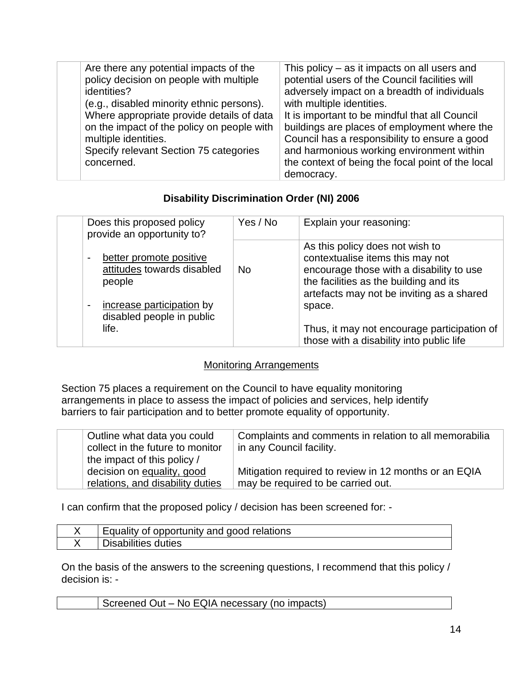| Are there any potential impacts of the<br>policy decision on people with multiple<br>identities?<br>(e.g., disabled minority ethnic persons).<br>Where appropriate provide details of data<br>on the impact of the policy on people with<br>multiple identities.<br>Specify relevant Section 75 categories<br>concerned. | This policy $-$ as it impacts on all users and<br>potential users of the Council facilities will<br>adversely impact on a breadth of individuals<br>with multiple identities.<br>It is important to be mindful that all Council<br>buildings are places of employment where the<br>Council has a responsibility to ensure a good<br>and harmonious working environment within |
|--------------------------------------------------------------------------------------------------------------------------------------------------------------------------------------------------------------------------------------------------------------------------------------------------------------------------|-------------------------------------------------------------------------------------------------------------------------------------------------------------------------------------------------------------------------------------------------------------------------------------------------------------------------------------------------------------------------------|
|                                                                                                                                                                                                                                                                                                                          | the context of being the focal point of the local<br>democracy.                                                                                                                                                                                                                                                                                                               |

### **Disability Discrimination Order (NI) 2006**

| Does this proposed policy<br>provide an opportunity to?                                                                                                                 | Yes / No  | Explain your reasoning:                                                                                                                                                                                          |
|-------------------------------------------------------------------------------------------------------------------------------------------------------------------------|-----------|------------------------------------------------------------------------------------------------------------------------------------------------------------------------------------------------------------------|
| better promote positive<br>$\overline{\phantom{0}}$<br>attitudes towards disabled<br>people<br>increase participation by<br>$\overline{a}$<br>disabled people in public | <b>No</b> | As this policy does not wish to<br>contextualise items this may not<br>encourage those with a disability to use<br>the facilities as the building and its<br>artefacts may not be inviting as a shared<br>space. |
| life.                                                                                                                                                                   |           | Thus, it may not encourage participation of<br>those with a disability into public life                                                                                                                          |

### Monitoring Arrangements

Section 75 places a requirement on the Council to have equality monitoring arrangements in place to assess the impact of policies and services, help identify barriers to fair participation and to better promote equality of opportunity.

| Outline what data you could<br>collect in the future to monitor                               | Complaints and comments in relation to all memorabilia<br>in any Council facility.          |
|-----------------------------------------------------------------------------------------------|---------------------------------------------------------------------------------------------|
| the impact of this policy /<br>decision on equality, good<br>relations, and disability duties | Mitigation required to review in 12 months or an EQIA<br>may be required to be carried out. |

I can confirm that the proposed policy / decision has been screened for: -

| Equality of opportunity and good relations |
|--------------------------------------------|
| Disabilities duties                        |

On the basis of the answers to the screening questions, I recommend that this policy / decision is: -

|--|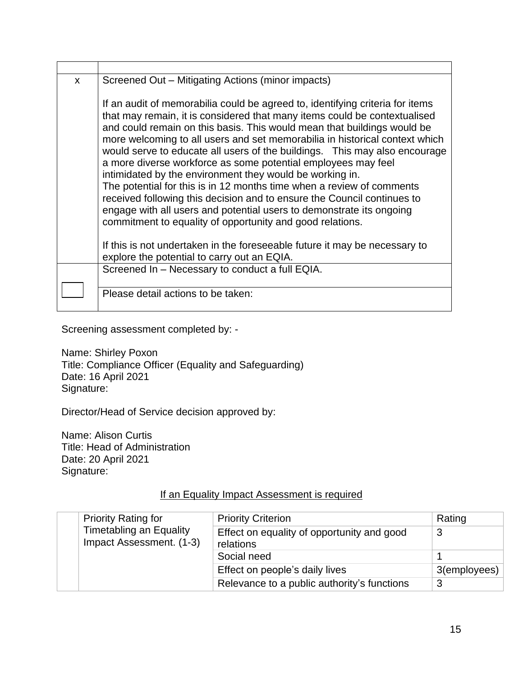| X | Screened Out – Mitigating Actions (minor impacts)                                                                                                                                                                                                                                                                                                                                                                                                                                                                                                                                                                                                                                                                                                                                                                        |  |
|---|--------------------------------------------------------------------------------------------------------------------------------------------------------------------------------------------------------------------------------------------------------------------------------------------------------------------------------------------------------------------------------------------------------------------------------------------------------------------------------------------------------------------------------------------------------------------------------------------------------------------------------------------------------------------------------------------------------------------------------------------------------------------------------------------------------------------------|--|
|   | If an audit of memorabilia could be agreed to, identifying criteria for items<br>that may remain, it is considered that many items could be contextualised<br>and could remain on this basis. This would mean that buildings would be<br>more welcoming to all users and set memorabilia in historical context which<br>would serve to educate all users of the buildings. This may also encourage<br>a more diverse workforce as some potential employees may feel<br>intimidated by the environment they would be working in.<br>The potential for this is in 12 months time when a review of comments<br>received following this decision and to ensure the Council continues to<br>engage with all users and potential users to demonstrate its ongoing<br>commitment to equality of opportunity and good relations. |  |
|   | If this is not undertaken in the foreseeable future it may be necessary to<br>explore the potential to carry out an EQIA.                                                                                                                                                                                                                                                                                                                                                                                                                                                                                                                                                                                                                                                                                                |  |
|   | Screened In - Necessary to conduct a full EQIA.                                                                                                                                                                                                                                                                                                                                                                                                                                                                                                                                                                                                                                                                                                                                                                          |  |
|   | Please detail actions to be taken:                                                                                                                                                                                                                                                                                                                                                                                                                                                                                                                                                                                                                                                                                                                                                                                       |  |

Screening assessment completed by: -

Name: Shirley Poxon Title: Compliance Officer (Equality and Safeguarding) Date: 16 April 2021 Signature:

Director/Head of Service decision approved by:

Name: Alison Curtis Title: Head of Administration Date: 20 April 2021 Signature:

### If an Equality Impact Assessment is required

| <b>Priority Rating for</b>                                 | <b>Priority Criterion</b>                               | Rating       |
|------------------------------------------------------------|---------------------------------------------------------|--------------|
| <b>Timetabling an Equality</b><br>Impact Assessment. (1-3) | Effect on equality of opportunity and good<br>relations | 3            |
|                                                            | Social need                                             |              |
|                                                            | Effect on people's daily lives                          | 3(employees) |
|                                                            | Relevance to a public authority's functions             | 3            |